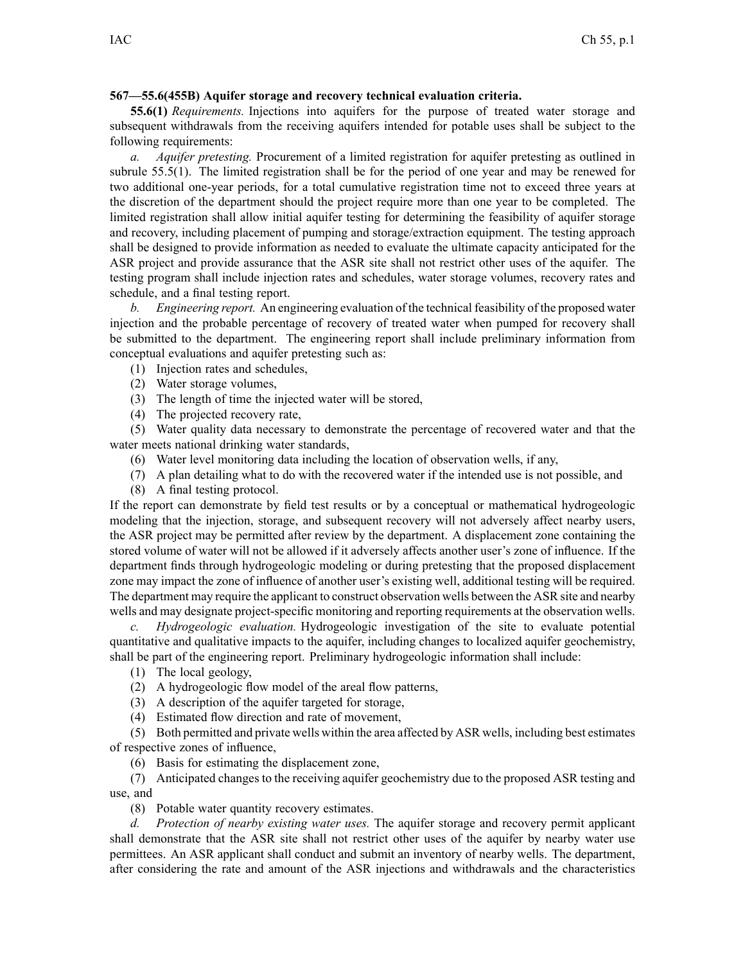## **567—55.6(455B) Aquifer storage and recovery technical evaluation criteria.**

**55.6(1)** *Requirements.* Injections into aquifers for the purpose of treated water storage and subsequent withdrawals from the receiving aquifers intended for potable uses shall be subject to the following requirements:

*a. Aquifer pretesting.* Procurement of <sup>a</sup> limited registration for aquifer pretesting as outlined in subrule 55.5(1). The limited registration shall be for the period of one year and may be renewed for two additional one-year periods, for <sup>a</sup> total cumulative registration time not to exceed three years at the discretion of the department should the project require more than one year to be completed. The limited registration shall allow initial aquifer testing for determining the feasibility of aquifer storage and recovery, including placement of pumping and storage/extraction equipment. The testing approach shall be designed to provide information as needed to evaluate the ultimate capacity anticipated for the ASR project and provide assurance that the ASR site shall not restrict other uses of the aquifer. The testing program shall include injection rates and schedules, water storage volumes, recovery rates and schedule, and <sup>a</sup> final testing report.

*b. Engineering report.* An engineering evaluation of the technical feasibility of the proposed water injection and the probable percentage of recovery of treated water when pumped for recovery shall be submitted to the department. The engineering repor<sup>t</sup> shall include preliminary information from conceptual evaluations and aquifer pretesting such as:

- (1) Injection rates and schedules,
- (2) Water storage volumes,
- (3) The length of time the injected water will be stored,
- (4) The projected recovery rate,

(5) Water quality data necessary to demonstrate the percentage of recovered water and that the water meets national drinking water standards,

- (6) Water level monitoring data including the location of observation wells, if any,
- (7) A plan detailing what to do with the recovered water if the intended use is not possible, and
- (8) A final testing protocol.

If the repor<sup>t</sup> can demonstrate by field test results or by <sup>a</sup> conceptual or mathematical hydrogeologic modeling that the injection, storage, and subsequent recovery will not adversely affect nearby users, the ASR project may be permitted after review by the department. A displacement zone containing the stored volume of water will not be allowed if it adversely affects another user's zone of influence. If the department finds through hydrogeologic modeling or during pretesting that the proposed displacement zone may impact the zone of influence of another user's existing well, additional testing will be required. The department may require the applicant to construct observation wells between the ASR site and nearby wells and may designate project-specific monitoring and reporting requirements at the observation wells.

*c. Hydrogeologic evaluation.* Hydrogeologic investigation of the site to evaluate potential quantitative and qualitative impacts to the aquifer, including changes to localized aquifer geochemistry, shall be par<sup>t</sup> of the engineering report. Preliminary hydrogeologic information shall include:

- (1) The local geology,
- (2) A hydrogeologic flow model of the areal flow patterns,
- (3) A description of the aquifer targeted for storage,
- (4) Estimated flow direction and rate of movement,

(5) Both permitted and private wells within the area affected by ASR wells, including best estimates of respective zones of influence,

(6) Basis for estimating the displacement zone,

(7) Anticipated changes to the receiving aquifer geochemistry due to the proposed ASR testing and use, and

(8) Potable water quantity recovery estimates.

*d. Protection of nearby existing water uses.* The aquifer storage and recovery permit applicant shall demonstrate that the ASR site shall not restrict other uses of the aquifer by nearby water use permittees. An ASR applicant shall conduct and submit an inventory of nearby wells. The department, after considering the rate and amount of the ASR injections and withdrawals and the characteristics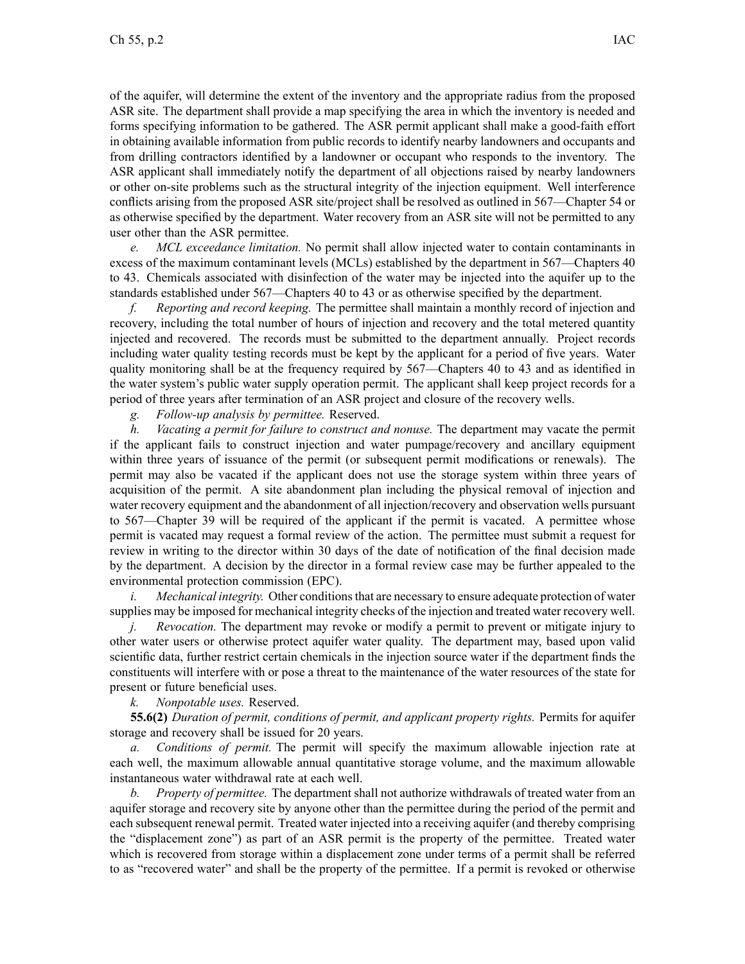of the aquifer, will determine the extent of the inventory and the appropriate radius from the proposed ASR site. The department shall provide <sup>a</sup> map specifying the area in which the inventory is needed and forms specifying information to be gathered. The ASR permit applicant shall make <sup>a</sup> good-faith effort in obtaining available information from public records to identify nearby landowners and occupants and from drilling contractors identified by <sup>a</sup> landowner or occupan<sup>t</sup> who responds to the inventory. The ASR applicant shall immediately notify the department of all objections raised by nearby landowners or other on-site problems such as the structural integrity of the injection equipment. Well interference conflicts arising from the proposed ASR site/project shall be resolved as outlined in 567—Chapter 54 or as otherwise specified by the department. Water recovery from an ASR site will not be permitted to any user other than the ASR permittee.

*e. MCL exceedance limitation.* No permit shall allow injected water to contain contaminants in excess of the maximum contaminant levels (MCLs) established by the department in 567—Chapters 40 to 43. Chemicals associated with disinfection of the water may be injected into the aquifer up to the standards established under 567—Chapters 40 to 43 or as otherwise specified by the department.

*f. Reporting and record keeping.* The permittee shall maintain <sup>a</sup> monthly record of injection and recovery, including the total number of hours of injection and recovery and the total metered quantity injected and recovered. The records must be submitted to the department annually. Project records including water quality testing records must be kept by the applicant for <sup>a</sup> period of five years. Water quality monitoring shall be at the frequency required by 567—Chapters 40 to 43 and as identified in the water system's public water supply operation permit. The applicant shall keep project records for <sup>a</sup> period of three years after termination of an ASR project and closure of the recovery wells.

*g. Follow-up analysis by permittee.* Reserved.

*h. Vacating <sup>a</sup> permit for failure to construct and nonuse.* The department may vacate the permit if the applicant fails to construct injection and water pumpage/recovery and ancillary equipment within three years of issuance of the permit (or subsequent permit modifications or renewals). The permit may also be vacated if the applicant does not use the storage system within three years of acquisition of the permit. A site abandonment plan including the physical removal of injection and water recovery equipment and the abandonment of all injection/recovery and observation wells pursuan<sup>t</sup> to 567—Chapter 39 will be required of the applicant if the permit is vacated. A permittee whose permit is vacated may reques<sup>t</sup> <sup>a</sup> formal review of the action. The permittee must submit <sup>a</sup> reques<sup>t</sup> for review in writing to the director within 30 days of the date of notification of the final decision made by the department. A decision by the director in <sup>a</sup> formal review case may be further appealed to the environmental protection commission (EPC).

*i. Mechanical integrity.* Other conditions that are necessary to ensure adequate protection of water supplies may be imposed for mechanical integrity checks of the injection and treated water recovery well.

*j. Revocation.* The department may revoke or modify <sup>a</sup> permit to preven<sup>t</sup> or mitigate injury to other water users or otherwise protect aquifer water quality. The department may, based upon valid scientific data, further restrict certain chemicals in the injection source water if the department finds the constituents will interfere with or pose <sup>a</sup> threat to the maintenance of the water resources of the state for presen<sup>t</sup> or future beneficial uses.

## *k. Nonpotable uses.* Reserved.

**55.6(2)** *Duration of permit, conditions of permit, and applicant property rights.* Permits for aquifer storage and recovery shall be issued for 20 years.

*a. Conditions of permit.* The permit will specify the maximum allowable injection rate at each well, the maximum allowable annual quantitative storage volume, and the maximum allowable instantaneous water withdrawal rate at each well.

*b. Property of permittee.* The department shall not authorize withdrawals of treated water from an aquifer storage and recovery site by anyone other than the permittee during the period of the permit and each subsequent renewal permit. Treated water injected into <sup>a</sup> receiving aquifer (and thereby comprising the "displacement zone") as par<sup>t</sup> of an ASR permit is the property of the permittee. Treated water which is recovered from storage within <sup>a</sup> displacement zone under terms of <sup>a</sup> permit shall be referred to as "recovered water" and shall be the property of the permittee. If <sup>a</sup> permit is revoked or otherwise